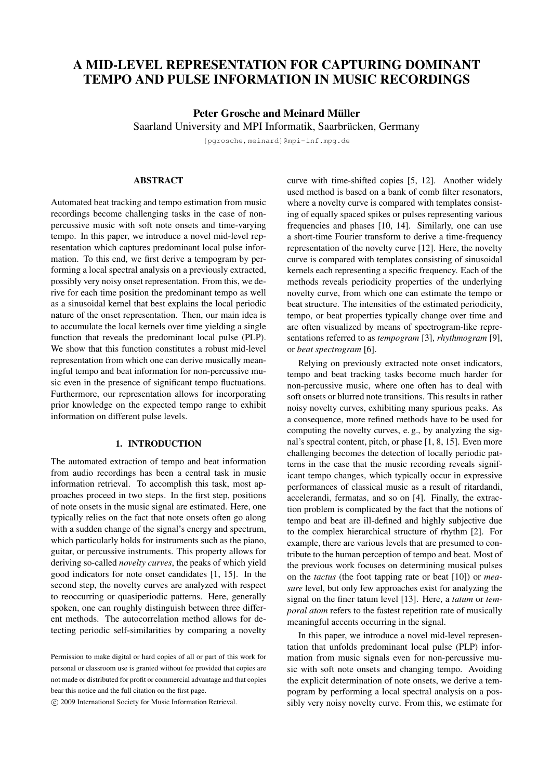# **A MID-LEVEL REPRESENTATION FOR CAPTURING DOMINANT TEMPO AND PULSE INFORMATION IN MUSIC RECORDINGS**

## **Peter Grosche and Meinard Müller**

Saarland University and MPI Informatik, Saarbrücken, Germany

{pgrosche,meinard}@mpi-inf.mpg.de

## **ABSTRACT**

Automated beat tracking and tempo estimation from music recordings become challenging tasks in the case of nonpercussive music with soft note onsets and time-varying tempo. In this paper, we introduce a novel mid-level representation which captures predominant local pulse information. To this end, we first derive a tempogram by performing a local spectral analysis on a previously extracted, possibly very noisy onset representation. From this, we derive for each time position the predominant tempo as well as a sinusoidal kernel that best explains the local periodic nature of the onset representation. Then, our main idea is to accumulate the local kernels over time yielding a single function that reveals the predominant local pulse (PLP). We show that this function constitutes a robust mid-level representation from which one can derive musically meaningful tempo and beat information for non-percussive music even in the presence of significant tempo fluctuations. Furthermore, our representation allows for incorporating prior knowledge on the expected tempo range to exhibit information on different pulse levels.

#### **1. INTRODUCTION**

The automated extraction of tempo and beat information from audio recordings has been a central task in music information retrieval. To accomplish this task, most approaches proceed in two steps. In the first step, positions of note onsets in the music signal are estimated. Here, one typically relies on the fact that note onsets often go along with a sudden change of the signal's energy and spectrum, which particularly holds for instruments such as the piano, guitar, or percussive instruments. This property allows for deriving so-called *novelty curves*, the peaks of which yield good indicators for note onset candidates [1, 15]. In the second step, the novelty curves are analyzed with respect to reoccurring or quasiperiodic patterns. Here, generally spoken, one can roughly distinguish between three different methods. The autocorrelation method allows for detecting periodic self-similarities by comparing a novelty

°c 2009 International Society for Music Information Retrieval.

curve with time-shifted copies [5, 12]. Another widely used method is based on a bank of comb filter resonators, where a novelty curve is compared with templates consisting of equally spaced spikes or pulses representing various frequencies and phases [10, 14]. Similarly, one can use a short-time Fourier transform to derive a time-frequency representation of the novelty curve [12]. Here, the novelty curve is compared with templates consisting of sinusoidal kernels each representing a specific frequency. Each of the methods reveals periodicity properties of the underlying novelty curve, from which one can estimate the tempo or beat structure. The intensities of the estimated periodicity, tempo, or beat properties typically change over time and are often visualized by means of spectrogram-like representations referred to as *tempogram* [3], *rhythmogram* [9], or *beat spectrogram* [6].

Relying on previously extracted note onset indicators, tempo and beat tracking tasks become much harder for non-percussive music, where one often has to deal with soft onsets or blurred note transitions. This results in rather noisy novelty curves, exhibiting many spurious peaks. As a consequence, more refined methods have to be used for computing the novelty curves, e. g., by analyzing the signal's spectral content, pitch, or phase [1, 8, 15]. Even more challenging becomes the detection of locally periodic patterns in the case that the music recording reveals significant tempo changes, which typically occur in expressive performances of classical music as a result of ritardandi, accelerandi, fermatas, and so on [4]. Finally, the extraction problem is complicated by the fact that the notions of tempo and beat are ill-defined and highly subjective due to the complex hierarchical structure of rhythm [2]. For example, there are various levels that are presumed to contribute to the human perception of tempo and beat. Most of the previous work focuses on determining musical pulses on the *tactus* (the foot tapping rate or beat [10]) or *measure* level, but only few approaches exist for analyzing the signal on the finer tatum level [13]. Here, a *tatum* or *temporal atom* refers to the fastest repetition rate of musically meaningful accents occurring in the signal.

In this paper, we introduce a novel mid-level representation that unfolds predominant local pulse (PLP) information from music signals even for non-percussive music with soft note onsets and changing tempo. Avoiding the explicit determination of note onsets, we derive a tempogram by performing a local spectral analysis on a possibly very noisy novelty curve. From this, we estimate for

Permission to make digital or hard copies of all or part of this work for personal or classroom use is granted without fee provided that copies are not made or distributed for profit or commercial advantage and that copies bear this notice and the full citation on the first page.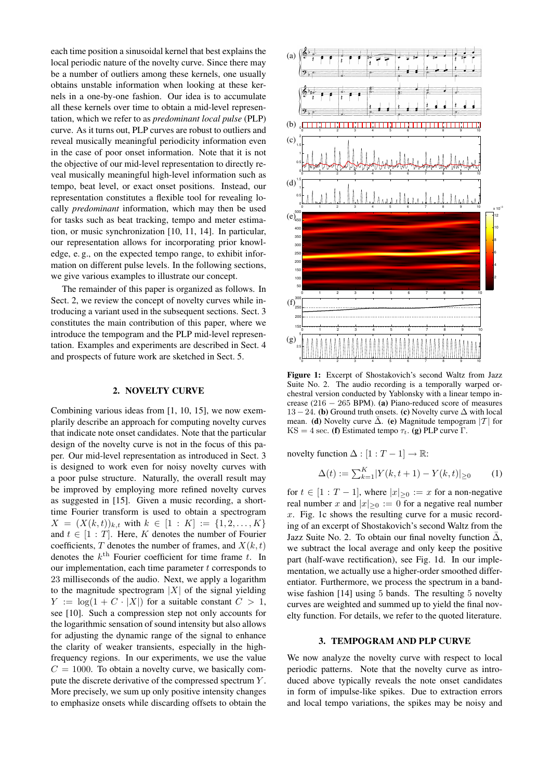each time position a sinusoidal kernel that best explains the local periodic nature of the novelty curve. Since there may be a number of outliers among these kernels, one usually obtains unstable information when looking at these kernels in a one-by-one fashion. Our idea is to accumulate all these kernels over time to obtain a mid-level representation, which we refer to as *predominant local pulse* (PLP) curve. As it turns out, PLP curves are robust to outliers and reveal musically meaningful periodicity information even in the case of poor onset information. Note that it is not the objective of our mid-level representation to directly reveal musically meaningful high-level information such as tempo, beat level, or exact onset positions. Instead, our representation constitutes a flexible tool for revealing locally *predominant* information, which may then be used for tasks such as beat tracking, tempo and meter estimation, or music synchronization [10, 11, 14]. In particular, our representation allows for incorporating prior knowledge, e. g., on the expected tempo range, to exhibit information on different pulse levels. In the following sections, we give various examples to illustrate our concept.

The remainder of this paper is organized as follows. In Sect. 2, we review the concept of novelty curves while introducing a variant used in the subsequent sections. Sect. 3 constitutes the main contribution of this paper, where we introduce the tempogram and the PLP mid-level representation. Examples and experiments are described in Sect. 4 and prospects of future work are sketched in Sect. 5.

### **2. NOVELTY CURVE**

Combining various ideas from [1, 10, 15], we now exemplarily describe an approach for computing novelty curves that indicate note onset candidates. Note that the particular design of the novelty curve is not in the focus of this paper. Our mid-level representation as introduced in Sect. 3 is designed to work even for noisy novelty curves with a poor pulse structure. Naturally, the overall result may be improved by employing more refined novelty curves as suggested in [15]. Given a music recording, a shorttime Fourier transform is used to obtain a spectrogram  $X = (X(k,t))_{k,t}$  with  $k \in [1:K] := \{1,2,\ldots,K\}$ and  $t \in [1 : T]$ . Here, K denotes the number of Fourier coefficients, T denotes the number of frames, and  $X(k, t)$ denotes the  $k^{\text{th}}$  Fourier coefficient for time frame t. In our implementation, each time parameter  $t$  corresponds to 23 milliseconds of the audio. Next, we apply a logarithm to the magnitude spectrogram  $|X|$  of the signal yielding  $Y := \log(1 + C \cdot |X|)$  for a suitable constant  $C > 1$ , see [10]. Such a compression step not only accounts for the logarithmic sensation of sound intensity but also allows for adjusting the dynamic range of the signal to enhance the clarity of weaker transients, especially in the highfrequency regions. In our experiments, we use the value  $C = 1000$ . To obtain a novelty curve, we basically compute the discrete derivative of the compressed spectrum Y . More precisely, we sum up only positive intensity changes to emphasize onsets while discarding offsets to obtain the



**Figure 1:** Excerpt of Shostakovich's second Waltz from Jazz Suite No. 2. The audio recording is a temporally warped orchestral version conducted by Yablonsky with a linear tempo increase (216 − 265 BPM). **(a)** Piano-reduced score of measures 13 − 24. **(b)** Ground truth onsets. **(c)** Novelty curve ∆ with local mean. **(d)** Novelty curve  $\overline{\Delta}$ . **(e)** Magnitude tempogram |T| for KS = 4 sec. **(f)** Estimated tempo  $\tau_t$ . **(g)** PLP curve Γ.

novelty function  $\Delta : [1 : T - 1] \rightarrow \mathbb{R}$ :

$$
\Delta(t) := \sum_{k=1}^{K} |Y(k, t+1) - Y(k, t)| \ge 0 \tag{1}
$$

for  $t \in [1 : T - 1]$ , where  $|x| > 0 := x$  for a non-negative real number x and  $|x|_{\geq 0} := 0$  for a negative real number  $x$ . Fig. 1c shows the resulting curve for a music recording of an excerpt of Shostakovich's second Waltz from the Jazz Suite No. 2. To obtain our final novelty function  $\bar{\Delta}$ , we subtract the local average and only keep the positive part (half-wave rectification), see Fig. 1d. In our implementation, we actually use a higher-order smoothed differentiator. Furthermore, we process the spectrum in a bandwise fashion [14] using 5 bands. The resulting 5 novelty curves are weighted and summed up to yield the final novelty function. For details, we refer to the quoted literature.

#### **3. TEMPOGRAM AND PLP CURVE**

We now analyze the novelty curve with respect to local periodic patterns. Note that the novelty curve as introduced above typically reveals the note onset candidates in form of impulse-like spikes. Due to extraction errors and local tempo variations, the spikes may be noisy and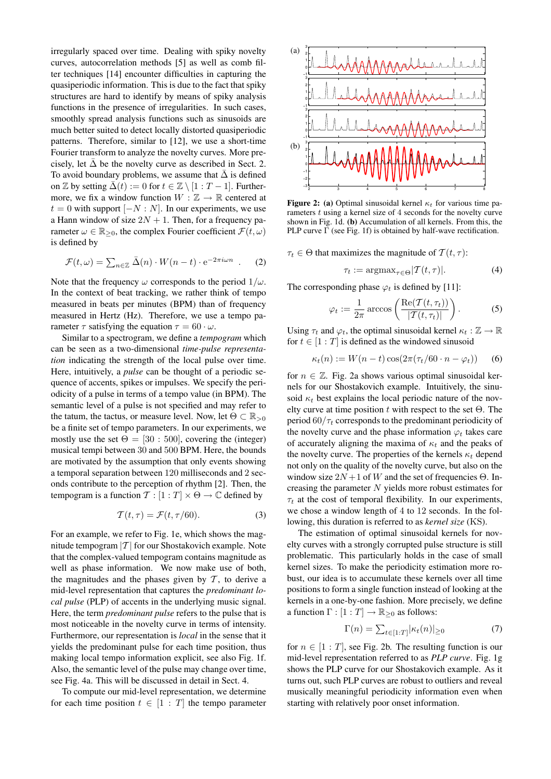irregularly spaced over time. Dealing with spiky novelty curves, autocorrelation methods [5] as well as comb filter techniques [14] encounter difficulties in capturing the quasiperiodic information. This is due to the fact that spiky structures are hard to identify by means of spiky analysis functions in the presence of irregularities. In such cases, smoothly spread analysis functions such as sinusoids are much better suited to detect locally distorted quasiperiodic patterns. Therefore, similar to [12], we use a short-time Fourier transform to analyze the novelty curves. More precisely, let  $\overline{\Delta}$  be the novelty curve as described in Sect. 2. To avoid boundary problems, we assume that  $\bar{\Delta}$  is defined on  $\mathbb Z$  by setting  $\bar{\Delta}(t) := 0$  for  $t \in \mathbb Z \setminus [1 : T - 1]$ . Furthermore, we fix a window function  $W : \mathbb{Z} \to \mathbb{R}$  centered at  $t = 0$  with support  $[-N : N]$ . In our experiments, we use a Hann window of size  $2N + 1$ . Then, for a frequency parameter  $\omega \in \mathbb{R}_{\geq 0}$ , the complex Fourier coefficient  $\mathcal{F}(t,\omega)$ is defined by

$$
\mathcal{F}(t,\omega) = \sum_{n \in \mathbb{Z}} \bar{\Delta}(n) \cdot W(n-t) \cdot e^{-2\pi i \omega n} . \quad (2)
$$

Note that the frequency  $\omega$  corresponds to the period  $1/\omega$ . In the context of beat tracking, we rather think of tempo measured in beats per minutes (BPM) than of frequency measured in Hertz (Hz). Therefore, we use a tempo parameter  $\tau$  satisfying the equation  $\tau = 60 \cdot \omega$ .

Similar to a spectrogram, we define a *tempogram* which can be seen as a two-dimensional *time-pulse representation* indicating the strength of the local pulse over time. Here, intuitively, a *pulse* can be thought of a periodic sequence of accents, spikes or impulses. We specify the periodicity of a pulse in terms of a tempo value (in BPM). The semantic level of a pulse is not specified and may refer to the tatum, the tactus, or measure level. Now, let  $\Theta \subset \mathbb{R}_{>0}$ be a finite set of tempo parameters. In our experiments, we mostly use the set  $\Theta = [30 : 500]$ , covering the (integer) musical tempi between 30 and 500 BPM. Here, the bounds are motivated by the assumption that only events showing a temporal separation between 120 milliseconds and 2 seconds contribute to the perception of rhythm [2]. Then, the tempogram is a function  $T : [1 : T] \times \Theta \rightarrow \mathbb{C}$  defined by

$$
\mathcal{T}(t,\tau) = \mathcal{F}(t,\tau/60). \tag{3}
$$

For an example, we refer to Fig. 1e, which shows the magnitude tempogram  $|T|$  for our Shostakovich example. Note that the complex-valued tempogram contains magnitude as well as phase information. We now make use of both, the magnitudes and the phases given by  $T$ , to derive a mid-level representation that captures the *predominant local pulse* (PLP) of accents in the underlying music signal. Here, the term *predominant pulse* refers to the pulse that is most noticeable in the novelty curve in terms of intensity. Furthermore, our representation is *local* in the sense that it yields the predominant pulse for each time position, thus making local tempo information explicit, see also Fig. 1f. Also, the semantic level of the pulse may change over time, see Fig. 4a. This will be discussed in detail in Sect. 4.

To compute our mid-level representation, we determine for each time position  $t \in [1 : T]$  the tempo parameter



**Figure 2: (a)** Optimal sinusoidal kernel  $\kappa_t$  for various time parameters  $t$  using a kernel size of  $4$  seconds for the novelty curve shown in Fig. 1d. **(b)** Accumulation of all kernels. From this, the PLP curve  $\Gamma$  (see Fig. 1f) is obtained by half-wave rectification.

 $\tau_t \in \Theta$  that maximizes the magnitude of  $\mathcal{T}(t, \tau)$ :

$$
\tau_t := \operatorname{argmax}_{\tau \in \Theta} |\mathcal{T}(t, \tau)|. \tag{4}
$$

The corresponding phase  $\varphi_t$  is defined by [11]:

$$
\varphi_t := \frac{1}{2\pi} \arccos\left(\frac{\text{Re}(\mathcal{T}(t,\tau_t))}{|\mathcal{T}(t,\tau_t)|}\right). \tag{5}
$$

Using  $\tau_t$  and  $\varphi_t$ , the optimal sinusoidal kernel  $\kappa_t : \mathbb{Z} \to \mathbb{R}$ for  $t \in [1 : T]$  is defined as the windowed sinusoid

$$
\kappa_t(n) := W(n-t)\cos(2\pi(\tau_t/60 \cdot n - \varphi_t)) \qquad (6)
$$

for  $n \in \mathbb{Z}$ . Fig. 2a shows various optimal sinusoidal kernels for our Shostakovich example. Intuitively, the sinusoid  $\kappa_t$  best explains the local periodic nature of the novelty curve at time position  $t$  with respect to the set  $\Theta$ . The period  $60/\tau_t$  corresponds to the predominant periodicity of the novelty curve and the phase information  $\varphi_t$  takes care of accurately aligning the maxima of  $\kappa_t$  and the peaks of the novelty curve. The properties of the kernels  $\kappa_t$  depend not only on the quality of the novelty curve, but also on the window size  $2N+1$  of W and the set of frequencies  $\Theta$ . Increasing the parameter  $N$  yields more robust estimates for  $\tau_t$  at the cost of temporal flexibility. In our experiments, we chose a window length of 4 to 12 seconds. In the following, this duration is referred to as *kernel size* (KS).

The estimation of optimal sinusoidal kernels for novelty curves with a strongly corrupted pulse structure is still problematic. This particularly holds in the case of small kernel sizes. To make the periodicity estimation more robust, our idea is to accumulate these kernels over all time positions to form a single function instead of looking at the kernels in a one-by-one fashion. More precisely, we define a function  $\Gamma : [1 : T] \to \mathbb{R}_{\geq 0}$  as follows:

$$
\Gamma(n) = \sum_{t \in [1:T]} |\kappa_t(n)| \ge 0 \tag{7}
$$

for  $n \in [1 : T]$ , see Fig. 2b. The resulting function is our mid-level representation referred to as *PLP curve*. Fig. 1g shows the PLP curve for our Shostakovich example. As it turns out, such PLP curves are robust to outliers and reveal musically meaningful periodicity information even when starting with relatively poor onset information.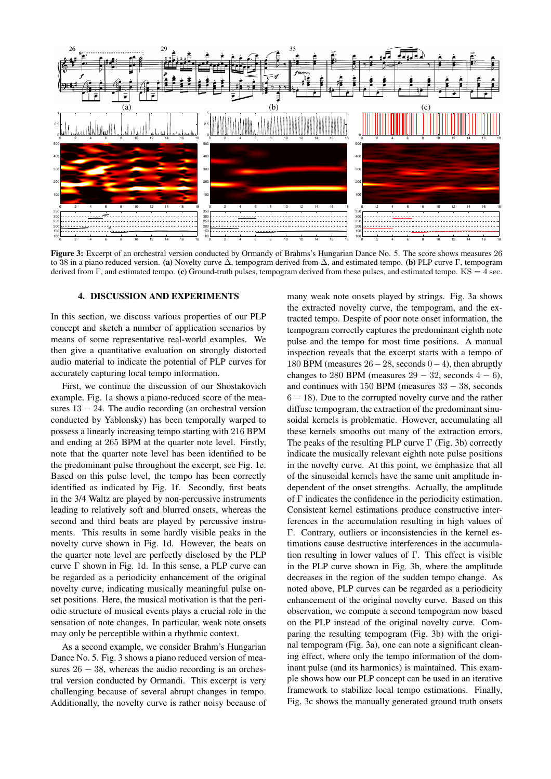

**Figure 3:** Excerpt of an orchestral version conducted by Ormandy of Brahms's Hungarian Dance No. 5. The score shows measures 26 to 38 in a piano reduced version. **(a)** Novelty curve Δ̄, tempogram derived from Δ̄, and estimated tempo. **(b)** PLP curve Γ, tempogram derived from Γ, and estimated tempo. **(c)** Ground-truth pulses, tempogram derived from these pulses, and estimated tempo. KS = 4 sec.

#### **4. DISCUSSION AND EXPERIMENTS**

In this section, we discuss various properties of our PLP concept and sketch a number of application scenarios by means of some representative real-world examples. We then give a quantitative evaluation on strongly distorted audio material to indicate the potential of PLP curves for accurately capturing local tempo information.

First, we continue the discussion of our Shostakovich example. Fig. 1a shows a piano-reduced score of the measures  $13 - 24$ . The audio recording (an orchestral version conducted by Yablonsky) has been temporally warped to possess a linearly increasing tempo starting with 216 BPM and ending at 265 BPM at the quarter note level. Firstly, note that the quarter note level has been identified to be the predominant pulse throughout the excerpt, see Fig. 1e. Based on this pulse level, the tempo has been correctly identified as indicated by Fig. 1f. Secondly, first beats in the 3/4 Waltz are played by non-percussive instruments leading to relatively soft and blurred onsets, whereas the second and third beats are played by percussive instruments. This results in some hardly visible peaks in the novelty curve shown in Fig. 1d. However, the beats on the quarter note level are perfectly disclosed by the PLP curve  $\Gamma$  shown in Fig. 1d. In this sense, a PLP curve can be regarded as a periodicity enhancement of the original novelty curve, indicating musically meaningful pulse onset positions. Here, the musical motivation is that the periodic structure of musical events plays a crucial role in the sensation of note changes. In particular, weak note onsets may only be perceptible within a rhythmic context.

As a second example, we consider Brahm's Hungarian Dance No. 5. Fig. 3 shows a piano reduced version of measures  $26 - 38$ , whereas the audio recording is an orchestral version conducted by Ormandi. This excerpt is very challenging because of several abrupt changes in tempo. Additionally, the novelty curve is rather noisy because of many weak note onsets played by strings. Fig. 3a shows the extracted novelty curve, the tempogram, and the extracted tempo. Despite of poor note onset information, the tempogram correctly captures the predominant eighth note pulse and the tempo for most time positions. A manual inspection reveals that the excerpt starts with a tempo of 180 BPM (measures  $26-28$ , seconds  $0-4$ ), then abruptly changes to 280 BPM (measures  $29 - 32$ , seconds  $4 - 6$ ), and continues with 150 BPM (measures  $33 - 38$ , seconds 6 − 18). Due to the corrupted novelty curve and the rather diffuse tempogram, the extraction of the predominant sinusoidal kernels is problematic. However, accumulating all these kernels smooths out many of the extraction errors. The peaks of the resulting PLP curve  $\Gamma$  (Fig. 3b) correctly indicate the musically relevant eighth note pulse positions in the novelty curve. At this point, we emphasize that all of the sinusoidal kernels have the same unit amplitude independent of the onset strengths. Actually, the amplitude of Γ indicates the confidence in the periodicity estimation. Consistent kernel estimations produce constructive interferences in the accumulation resulting in high values of Γ. Contrary, outliers or inconsistencies in the kernel estimations cause destructive interferences in the accumulation resulting in lower values of  $\Gamma$ . This effect is visible in the PLP curve shown in Fig. 3b, where the amplitude decreases in the region of the sudden tempo change. As noted above, PLP curves can be regarded as a periodicity enhancement of the original novelty curve. Based on this observation, we compute a second tempogram now based on the PLP instead of the original novelty curve. Comparing the resulting tempogram (Fig. 3b) with the original tempogram (Fig. 3a), one can note a significant cleaning effect, where only the tempo information of the dominant pulse (and its harmonics) is maintained. This example shows how our PLP concept can be used in an iterative framework to stabilize local tempo estimations. Finally, Fig. 3c shows the manually generated ground truth onsets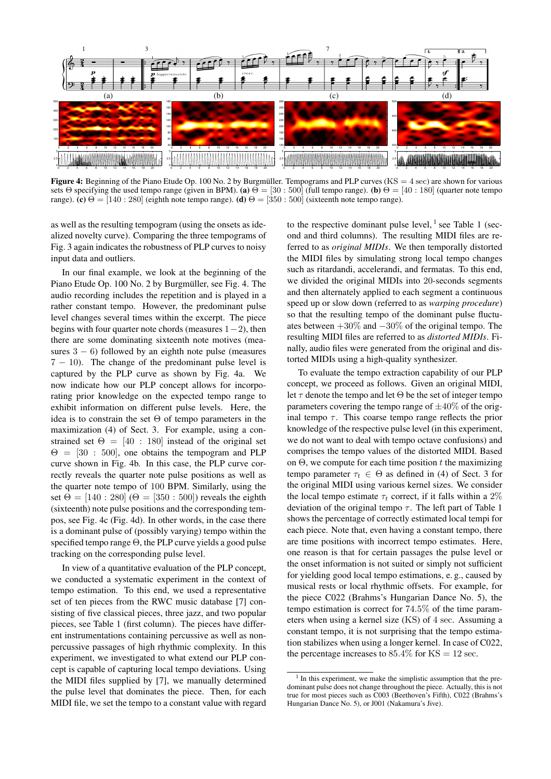

**Figure 4:** Beginning of the Piano Etude Op. 100 No. 2 by Burgmüller. Tempograms and PLP curves  $(KS = 4 \text{ sec})$  are shown for various sets Θ specifying the used tempo range (given in BPM). **(a)**  $\Theta = [30 : 500]$  (full tempo range). **(b)**  $\Theta = [40 : 180]$  (quarter note tempo range). **(c)**  $\Theta = [140 : 280]$  (eighth note tempo range). **(d)**  $\Theta = [350 : 500]$  (sixteenth note tempo range).

as well as the resulting tempogram (using the onsets as idealized novelty curve). Comparing the three tempograms of Fig. 3 again indicates the robustness of PLP curves to noisy input data and outliers.

In our final example, we look at the beginning of the Piano Etude Op. 100 No. 2 by Burgmüller, see Fig. 4. The audio recording includes the repetition and is played in a rather constant tempo. However, the predominant pulse level changes several times within the excerpt. The piece begins with four quarter note chords (measures  $1-2$ ), then there are some dominating sixteenth note motives (measures  $3 - 6$ ) followed by an eighth note pulse (measures 7 − 10). The change of the predominant pulse level is captured by the PLP curve as shown by Fig. 4a. We now indicate how our PLP concept allows for incorporating prior knowledge on the expected tempo range to exhibit information on different pulse levels. Here, the idea is to constrain the set Θ of tempo parameters in the maximization (4) of Sect. 3. For example, using a constrained set  $\Theta = [40 : 180]$  instead of the original set  $\Theta = [30 : 500]$ , one obtains the tempogram and PLP curve shown in Fig. 4b. In this case, the PLP curve correctly reveals the quarter note pulse positions as well as the quarter note tempo of 100 BPM. Similarly, using the set  $\Theta = [140 : 280]$  ( $\Theta = [350 : 500]$ ) reveals the eighth (sixteenth) note pulse positions and the corresponding tempos, see Fig. 4c (Fig. 4d). In other words, in the case there is a dominant pulse of (possibly varying) tempo within the specified tempo range Θ, the PLP curve yields a good pulse tracking on the corresponding pulse level.

In view of a quantitative evaluation of the PLP concept, we conducted a systematic experiment in the context of tempo estimation. To this end, we used a representative set of ten pieces from the RWC music database [7] consisting of five classical pieces, three jazz, and two popular pieces, see Table 1 (first column). The pieces have different instrumentations containing percussive as well as nonpercussive passages of high rhythmic complexity. In this experiment, we investigated to what extend our PLP concept is capable of capturing local tempo deviations. Using the MIDI files supplied by [7], we manually determined the pulse level that dominates the piece. Then, for each MIDI file, we set the tempo to a constant value with regard

to the respective dominant pulse level,  $\frac{1}{1}$  see Table 1 (second and third columns). The resulting MIDI files are referred to as *original MIDIs*. We then temporally distorted the MIDI files by simulating strong local tempo changes such as ritardandi, accelerandi, and fermatas. To this end, we divided the original MIDIs into 20-seconds segments and then alternately applied to each segment a continuous speed up or slow down (referred to as *warping procedure*) so that the resulting tempo of the dominant pulse fluctuates between  $+30\%$  and  $-30\%$  of the original tempo. The resulting MIDI files are referred to as *distorted MIDIs*. Finally, audio files were generated from the original and distorted MIDIs using a high-quality synthesizer.

To evaluate the tempo extraction capability of our PLP concept, we proceed as follows. Given an original MIDI, let  $\tau$  denote the tempo and let  $\Theta$  be the set of integer tempo parameters covering the tempo range of  $\pm 40\%$  of the original tempo  $\tau$ . This coarse tempo range reflects the prior knowledge of the respective pulse level (in this experiment, we do not want to deal with tempo octave confusions) and comprises the tempo values of the distorted MIDI. Based on  $\Theta$ , we compute for each time position t the maximizing tempo parameter  $\tau_t \in \Theta$  as defined in (4) of Sect. 3 for the original MIDI using various kernel sizes. We consider the local tempo estimate  $\tau_t$  correct, if it falls within a 2% deviation of the original tempo  $\tau$ . The left part of Table 1 shows the percentage of correctly estimated local tempi for each piece. Note that, even having a constant tempo, there are time positions with incorrect tempo estimates. Here, one reason is that for certain passages the pulse level or the onset information is not suited or simply not sufficient for yielding good local tempo estimations, e. g., caused by musical rests or local rhythmic offsets. For example, for the piece C022 (Brahms's Hungarian Dance No. 5), the tempo estimation is correct for 74.5% of the time parameters when using a kernel size (KS) of 4 sec. Assuming a constant tempo, it is not surprising that the tempo estimation stabilizes when using a longer kernel. In case of C022, the percentage increases to  $85.4\%$  for KS = 12 sec.

<sup>&</sup>lt;sup>1</sup> In this experiment, we make the simplistic assumption that the predominant pulse does not change throughout the piece. Actually, this is not true for most pieces such as C003 (Beethoven's Fifth), C022 (Brahms's Hungarian Dance No. 5), or J001 (Nakamura's Jive).